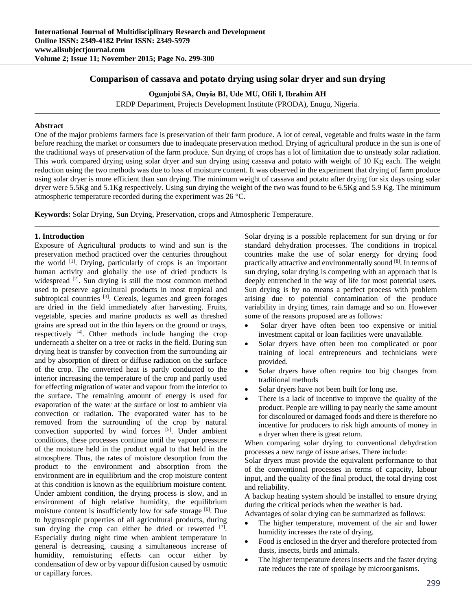# **Comparison of cassava and potato drying using solar dryer and sun drying**

**Ogunjobi SA, Onyia BI, Ude MU, Ofili I, Ibrahim AH** 

ERDP Department, Projects Development Institute (PRODA), Enugu, Nigeria.

## **Abstract**

One of the major problems farmers face is preservation of their farm produce. A lot of cereal, vegetable and fruits waste in the farm before reaching the market or consumers due to inadequate preservation method. Drying of agricultural produce in the sun is one of the traditional ways of preservation of the farm produce. Sun drying of crops has a lot of limitation due to unsteady solar radiation. This work compared drying using solar dryer and sun drying using cassava and potato with weight of 10 Kg each. The weight reduction using the two methods was due to loss of moisture content. It was observed in the experiment that drying of farm produce using solar dryer is more efficient than sun drying. The minimum weight of cassava and potato after drying for six days using solar dryer were 5.5Kg and 5.1Kg respectively. Using sun drying the weight of the two was found to be 6.5Kg and 5.9 Kg. The minimum atmospheric temperature recorded during the experiment was 26 °C.

**Keywords:** Solar Drying, Sun Drying, Preservation, crops and Atmospheric Temperature.

## **1. Introduction**

Exposure of Agricultural products to wind and sun is the preservation method practiced over the centuries throughout the world <sup>[1]</sup>. Drying, particularly of crops is an important human activity and globally the use of dried products is widespread <sup>[2]</sup>. Sun drying is still the most common method used to preserve agricultural products in most tropical and subtropical countries <sup>[3]</sup>. Cereals, legumes and green forages are dried in the field immediately after harvesting. Fruits, vegetable, species and marine products as well as threshed grains are spread out in the thin layers on the ground or trays, respectively  $[4]$ . Other methods include hanging the crop underneath a shelter on a tree or racks in the field. During sun drying heat is transfer by convection from the surrounding air and by absorption of direct or diffuse radiation on the surface of the crop. The converted heat is partly conducted to the interior increasing the temperature of the crop and partly used for effecting migration of water and vapour from the interior to the surface. The remaining amount of energy is used for evaporation of the water at the surface or lost to ambient via convection or radiation. The evaporated water has to be removed from the surrounding of the crop by natural convection supported by wind forces [5]. Under ambient conditions, these processes continue until the vapour pressure of the moisture held in the product equal to that held in the atmosphere. Thus, the rates of moisture desorption from the product to the environment and absorption from the environment are in equilibrium and the crop moisture content at this condition is known as the equilibrium moisture content. Under ambient condition, the drying process is slow, and in environment of high relative humidity, the equilibrium moisture content is insufficiently low for safe storage [6]. Due to hygroscopic properties of all agricultural products, during sun drying the crop can either be dried or rewetted  $[7]$ . Especially during night time when ambient temperature in general is decreasing, causing a simultaneous increase of humidity, remoisturing effects can occur either by condensation of dew or by vapour diffusion caused by osmotic or capillary forces.

Solar drying is a possible replacement for sun drying or for standard dehydration processes. The conditions in tropical countries make the use of solar energy for drying food practically attractive and environmentally sound [8]. In terms of sun drying, solar drying is competing with an approach that is deeply entrenched in the way of life for most potential users. Sun drying is by no means a perfect process with problem arising due to potential contamination of the produce variability in drying times, rain damage and so on. However some of the reasons proposed are as follows:

- Solar dryer have often been too expensive or initial investment capital or loan facilities were unavailable.
- Solar dryers have often been too complicated or poor training of local entrepreneurs and technicians were provided.
- Solar dryers have often require too big changes from traditional methods
- Solar dryers have not been built for long use.
- There is a lack of incentive to improve the quality of the product. People are willing to pay nearly the same amount for discoloured or damaged foods and there is therefore no incentive for producers to risk high amounts of money in a dryer when there is great return.

When comparing solar drying to conventional dehydration processes a new range of issue arises. There include:

Solar dryers must provide the equivalent performance to that of the conventional processes in terms of capacity, labour input, and the quality of the final product, the total drying cost and reliability.

A backup heating system should be installed to ensure drying during the critical periods when the weather is bad.

Advantages of solar drying can be summarized as follows:

- The higher temperature, movement of the air and lower humidity increases the rate of drying.
- Food is enclosed in the dryer and therefore protected from dusts, insects, birds and animals.
- The higher temperature deters insects and the faster drying rate reduces the rate of spoilage by microorganisms.